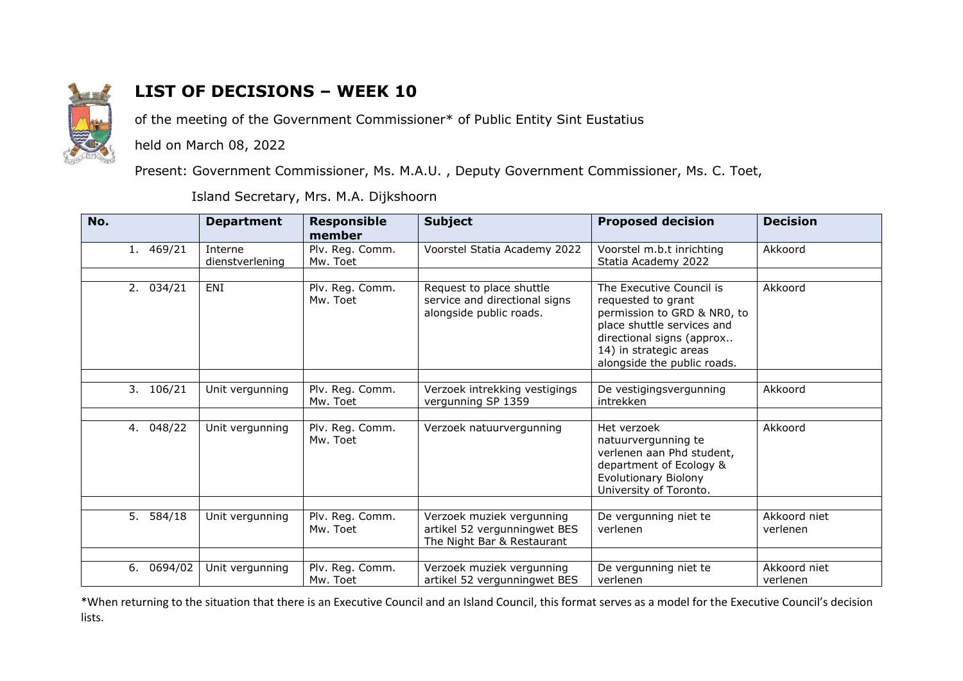

## **LIST OF DECISIONS – WEEK 10**

of the meeting of the Government Commissioner\* of Public Entity Sint Eustatius

held on March 08, 2022

Present: Government Commissioner, Ms. M.A.U. , Deputy Government Commissioner, Ms. C. Toet,

Island Secretary, Mrs. M.A. Dijkshoorn

| No.           | <b>Department</b>          | <b>Responsible</b><br>member | <b>Subject</b>                                                                          | <b>Proposed decision</b>                                                                                                                                                                          | <b>Decision</b>          |
|---------------|----------------------------|------------------------------|-----------------------------------------------------------------------------------------|---------------------------------------------------------------------------------------------------------------------------------------------------------------------------------------------------|--------------------------|
| 1. 469/21     | Interne<br>dienstverlening | Plv. Reg. Comm.<br>Mw. Toet  | Voorstel Statia Academy 2022                                                            | Voorstel m.b.t inrichting<br>Statia Academy 2022                                                                                                                                                  | Akkoord                  |
| 2.034/21      | ENI                        | Plv. Reg. Comm.<br>Mw. Toet  | Request to place shuttle<br>service and directional signs<br>alongside public roads.    | The Executive Council is<br>requested to grant<br>permission to GRD & NR0, to<br>place shuttle services and<br>directional signs (approx<br>14) in strategic areas<br>alongside the public roads. | Akkoord                  |
| 3. 106/21     | Unit vergunning            | Plv. Reg. Comm.<br>Mw. Toet  | Verzoek intrekking vestigings<br>vergunning SP 1359                                     | De vestigingsvergunning<br>intrekken                                                                                                                                                              | Akkoord                  |
| 048/22<br>4.  | Unit vergunning            | Plv. Reg. Comm.<br>Mw. Toet  | Verzoek natuurvergunning                                                                | Het verzoek<br>natuurvergunning te<br>verlenen aan Phd student,<br>department of Ecology &<br>Evolutionary Biolony<br>University of Toronto.                                                      | Akkoord                  |
| 5. 584/18     | Unit vergunning            | Plv. Reg. Comm.<br>Mw. Toet  | Verzoek muziek vergunning<br>artikel 52 vergunningwet BES<br>The Night Bar & Restaurant | De vergunning niet te<br>verlenen                                                                                                                                                                 | Akkoord niet<br>verlenen |
| 6.<br>0694/02 | Unit vergunning            | Plv. Reg. Comm.<br>Mw. Toet  | Verzoek muziek vergunning<br>artikel 52 vergunningwet BES                               | De vergunning niet te<br>verlenen                                                                                                                                                                 | Akkoord niet<br>verlenen |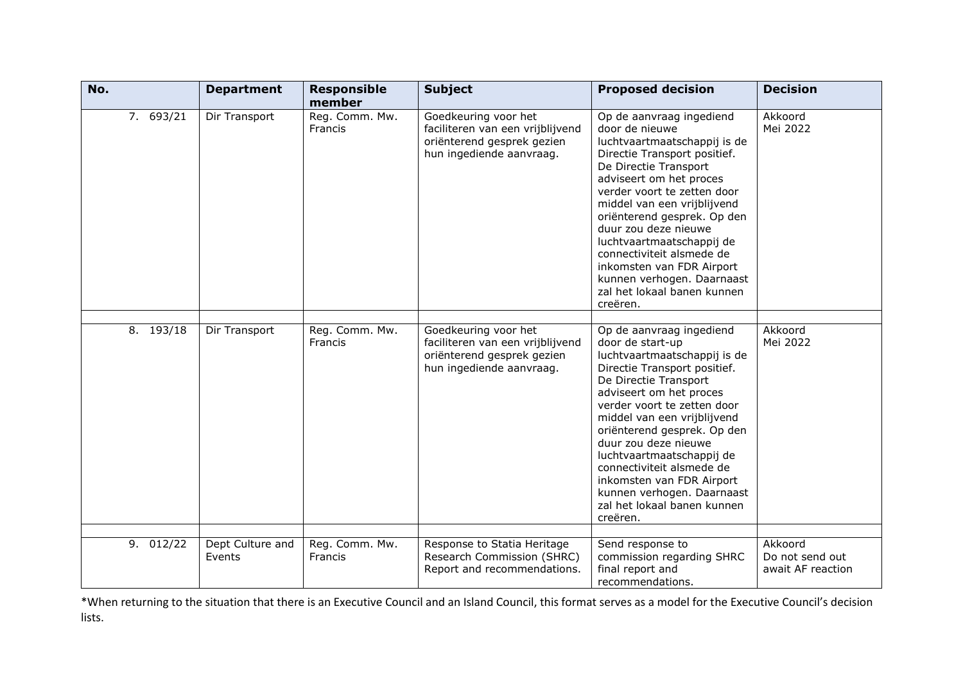| No.       | <b>Department</b>          | <b>Responsible</b><br>member | <b>Subject</b>                                                                                                     | <b>Proposed decision</b>                                                                                                                                                                                                                                                                                                                                                                                                                              | <b>Decision</b>                                 |
|-----------|----------------------------|------------------------------|--------------------------------------------------------------------------------------------------------------------|-------------------------------------------------------------------------------------------------------------------------------------------------------------------------------------------------------------------------------------------------------------------------------------------------------------------------------------------------------------------------------------------------------------------------------------------------------|-------------------------------------------------|
| 7. 693/21 | Dir Transport              | Reg. Comm. Mw.<br>Francis    | Goedkeuring voor het<br>faciliteren van een vrijblijvend<br>oriënterend gesprek gezien<br>hun ingediende aanvraag. | Op de aanvraag ingediend<br>door de nieuwe<br>luchtvaartmaatschappij is de<br>Directie Transport positief.<br>De Directie Transport<br>adviseert om het proces<br>verder voort te zetten door<br>middel van een vrijblijvend<br>oriënterend gesprek. Op den<br>duur zou deze nieuwe<br>luchtvaartmaatschappij de<br>connectiviteit alsmede de<br>inkomsten van FDR Airport<br>kunnen verhogen. Daarnaast<br>zal het lokaal banen kunnen<br>creëren.   | Akkoord<br>Mei 2022                             |
| 8. 193/18 | Dir Transport              | Reg. Comm. Mw.<br>Francis    | Goedkeuring voor het<br>faciliteren van een vrijblijvend<br>oriënterend gesprek gezien<br>hun ingediende aanvraag. | Op de aanvraag ingediend<br>door de start-up<br>luchtvaartmaatschappij is de<br>Directie Transport positief.<br>De Directie Transport<br>adviseert om het proces<br>verder voort te zetten door<br>middel van een vrijblijvend<br>oriënterend gesprek. Op den<br>duur zou deze nieuwe<br>luchtvaartmaatschappij de<br>connectiviteit alsmede de<br>inkomsten van FDR Airport<br>kunnen verhogen. Daarnaast<br>zal het lokaal banen kunnen<br>creëren. | Akkoord<br>Mei 2022                             |
| 9. 012/22 | Dept Culture and<br>Events | Reg. Comm. Mw.<br>Francis    | Response to Statia Heritage<br>Research Commission (SHRC)<br>Report and recommendations.                           | Send response to<br>commission regarding SHRC<br>final report and<br>recommendations.                                                                                                                                                                                                                                                                                                                                                                 | Akkoord<br>Do not send out<br>await AF reaction |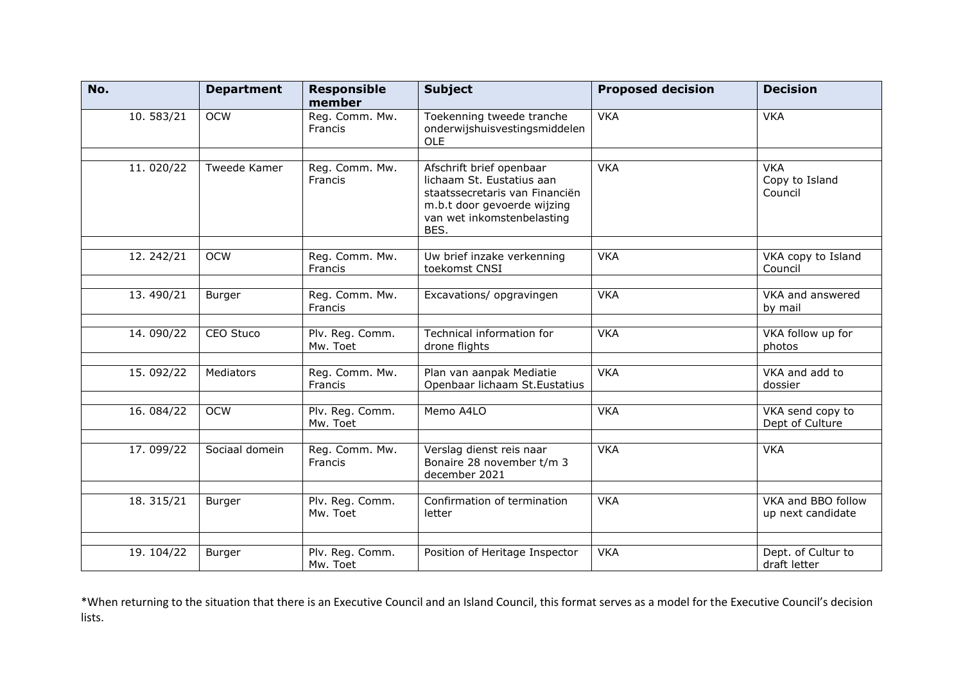| No.       | <b>Department</b> | <b>Responsible</b><br>member | <b>Subject</b>                                                                                                                                               | <b>Proposed decision</b> | <b>Decision</b>                         |
|-----------|-------------------|------------------------------|--------------------------------------------------------------------------------------------------------------------------------------------------------------|--------------------------|-----------------------------------------|
| 10.583/21 | <b>OCW</b>        | Reg. Comm. Mw.<br>Francis    | Toekenning tweede tranche<br>onderwijshuisvestingsmiddelen<br><b>OLE</b>                                                                                     | <b>VKA</b>               | <b>VKA</b>                              |
| 11.020/22 | Tweede Kamer      | Reg. Comm. Mw.<br>Francis    | Afschrift brief openbaar<br>lichaam St. Eustatius aan<br>staatssecretaris van Financiën<br>m.b.t door gevoerde wijzing<br>van wet inkomstenbelasting<br>BES. | <b>VKA</b>               | <b>VKA</b><br>Copy to Island<br>Council |
| 12.242/21 | <b>OCW</b>        | Reg. Comm. Mw.<br>Francis    | Uw brief inzake verkenning<br>toekomst CNSI                                                                                                                  | <b>VKA</b>               | VKA copy to Island<br>Council           |
| 13.490/21 | Burger            | Reg. Comm. Mw.<br>Francis    | Excavations/ opgravingen                                                                                                                                     | <b>VKA</b>               | VKA and answered<br>by mail             |
| 14.090/22 | CEO Stuco         | Plv. Reg. Comm.<br>Mw. Toet  | Technical information for<br>drone flights                                                                                                                   | <b>VKA</b>               | VKA follow up for<br>photos             |
| 15.092/22 | Mediators         | Reg. Comm. Mw.<br>Francis    | Plan van aanpak Mediatie<br>Openbaar lichaam St. Eustatius                                                                                                   | <b>VKA</b>               | VKA and add to<br>dossier               |
| 16.084/22 | <b>OCW</b>        | Plv. Reg. Comm.<br>Mw. Toet  | Memo A4LO                                                                                                                                                    | <b>VKA</b>               | VKA send copy to<br>Dept of Culture     |
| 17.099/22 | Sociaal domein    | Reg. Comm. Mw.<br>Francis    | Verslag dienst reis naar<br>Bonaire 28 november t/m 3<br>december 2021                                                                                       | <b>VKA</b>               | <b>VKA</b>                              |
| 18.315/21 | Burger            | Plv. Reg. Comm.<br>Mw. Toet  | Confirmation of termination<br>letter                                                                                                                        | <b>VKA</b>               | VKA and BBO follow<br>up next candidate |
| 19.104/22 | Burger            | Plv. Reg. Comm.<br>Mw. Toet  | Position of Heritage Inspector                                                                                                                               | <b>VKA</b>               | Dept. of Cultur to<br>draft letter      |